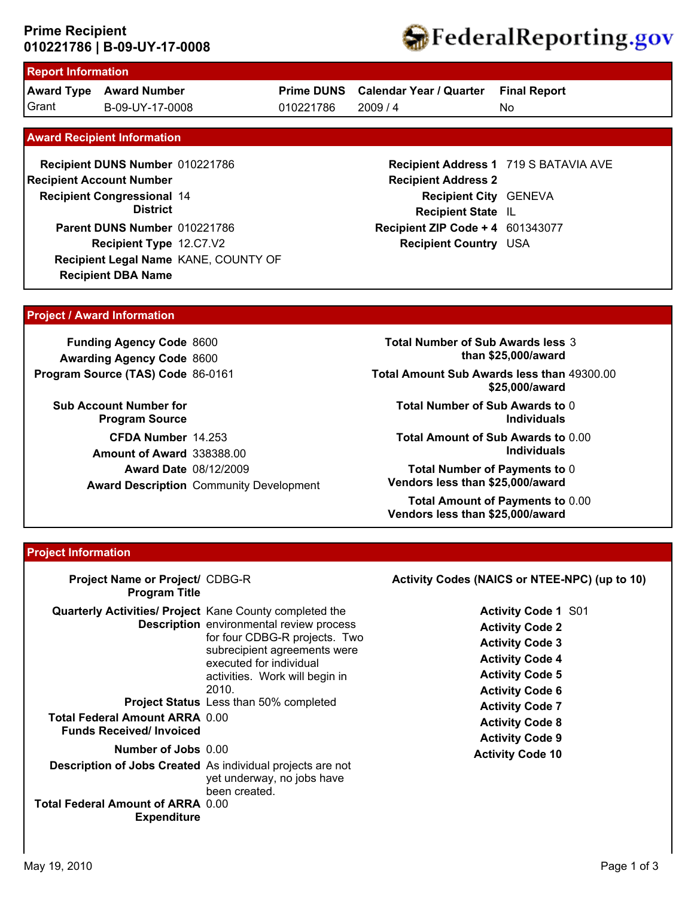## **010221786 | B-09-UY-17-0008 Prime Recipient**



# **Report Information**

**Award Type Award Number** Grant B-09-UY-17-0008 010221786 2009 / 4

**Prime DUNS Calendar Year / Quarter**

010221786

No **Final Report**

 **Award Recipient Information**

**Recipient DBA Name Recipient DUNS Number** 010221786 **Recipient Congressional 14 Recipient Account Number District Recipient Type** 12.C7.V2 **Parent DUNS Number** 010221786 **Recipient Legal Name** KANE, COUNTY OF

### **Recipient Address 1** 719 S BATAVIA AVE **Recipient Address 2 Recipient City** GENEVA **Recipient State** IL **Recipient ZIP Code + 4** 601343077 **Recipient Country** USA

### **Project / Award Information**

**Funding Agency Code** 8600 **Awarding Agency Code** 8600 **Program Source (TAS) Code** 86-0161

**Sub Account Number for Program Source CFDA Number** 14.253 **Award Date** 08/12/2009 **Award Description** Community Development **Amount of Award** 338388.00

**Total Number of Sub Awards less** 3 **than \$25,000/award**

**Total Amount Sub Awards less than** 49300.00 **\$25,000/award**

**Total Number of Sub Awards to** 0 **Individuals**

**Total Amount of Sub Awards to** 0.00 **Individuals**

**Total Number of Payments to** 0 **Vendors less than \$25,000/award**

**Total Amount of Payments to** 0.00 **Vendors less than \$25,000/award**

#### **Project Information**

| Project Name or Project/ CDBG-R<br><b>Program Title</b>                                                                                                                                                                                                                                                 |                                                                                                                                                                                                                                                                                        | Activity Codes (NAICS or NTEE-NPC) (up to 10)                                                                                                                                                                                                                         |
|---------------------------------------------------------------------------------------------------------------------------------------------------------------------------------------------------------------------------------------------------------------------------------------------------------|----------------------------------------------------------------------------------------------------------------------------------------------------------------------------------------------------------------------------------------------------------------------------------------|-----------------------------------------------------------------------------------------------------------------------------------------------------------------------------------------------------------------------------------------------------------------------|
| <b>Quarterly Activities/ Project Kane County completed the</b><br><b>Total Federal Amount ARRA 0.00</b><br><b>Funds Received/Invoiced</b><br>Number of Jobs 0.00<br><b>Description of Jobs Created</b> As individual projects are not<br><b>Total Federal Amount of ARRA 0.00</b><br><b>Expenditure</b> | <b>Description</b> environmental review process<br>for four CDBG-R projects. Two<br>subrecipient agreements were<br>executed for individual<br>activities. Work will begin in<br>2010.<br><b>Project Status</b> Less than 50% completed<br>yet underway, no jobs have<br>been created. | <b>Activity Code 1 S01</b><br><b>Activity Code 2</b><br><b>Activity Code 3</b><br><b>Activity Code 4</b><br><b>Activity Code 5</b><br><b>Activity Code 6</b><br><b>Activity Code 7</b><br><b>Activity Code 8</b><br><b>Activity Code 9</b><br><b>Activity Code 10</b> |
|                                                                                                                                                                                                                                                                                                         |                                                                                                                                                                                                                                                                                        |                                                                                                                                                                                                                                                                       |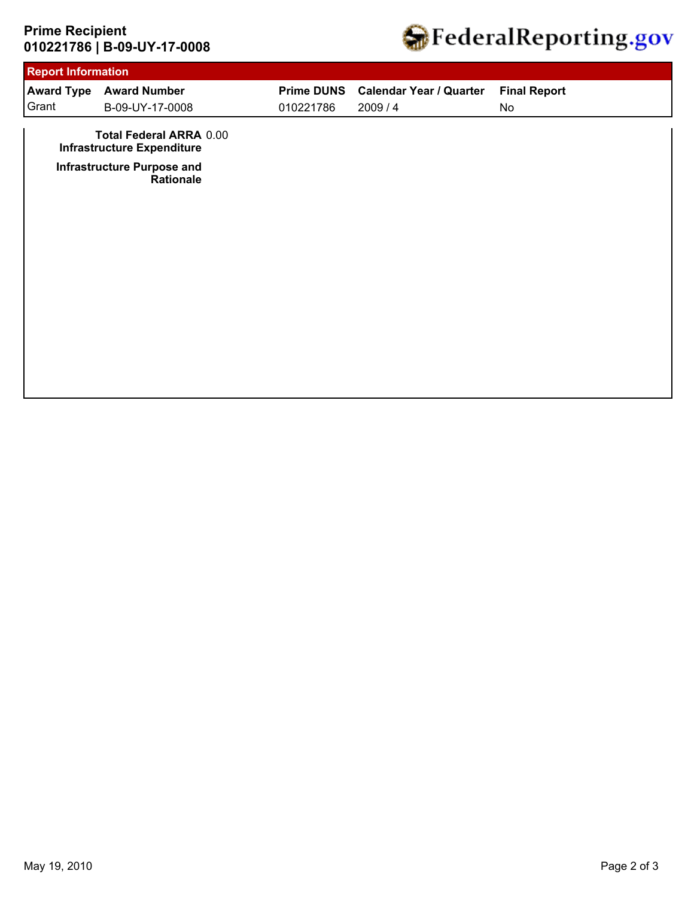# **010221786 | B-09-UY-17-0008 Prime Recipient**



| <b>Report Information</b> |                                                                                                          |                   |                                |                     |  |
|---------------------------|----------------------------------------------------------------------------------------------------------|-------------------|--------------------------------|---------------------|--|
|                           | <b>Award Type Award Number</b>                                                                           | <b>Prime DUNS</b> | <b>Calendar Year / Quarter</b> | <b>Final Report</b> |  |
| Grant                     | B-09-UY-17-0008                                                                                          | 010221786         | 2009/4                         | No                  |  |
|                           | <b>Total Federal ARRA 0.00</b><br><b>Infrastructure Expenditure</b><br><b>Infrastructure Purpose and</b> |                   |                                |                     |  |
|                           | Rationale                                                                                                |                   |                                |                     |  |
|                           |                                                                                                          |                   |                                |                     |  |
|                           |                                                                                                          |                   |                                |                     |  |
|                           |                                                                                                          |                   |                                |                     |  |
|                           |                                                                                                          |                   |                                |                     |  |
|                           |                                                                                                          |                   |                                |                     |  |
|                           |                                                                                                          |                   |                                |                     |  |
|                           |                                                                                                          |                   |                                |                     |  |
|                           |                                                                                                          |                   |                                |                     |  |
|                           |                                                                                                          |                   |                                |                     |  |
|                           |                                                                                                          |                   |                                |                     |  |
|                           |                                                                                                          |                   |                                |                     |  |